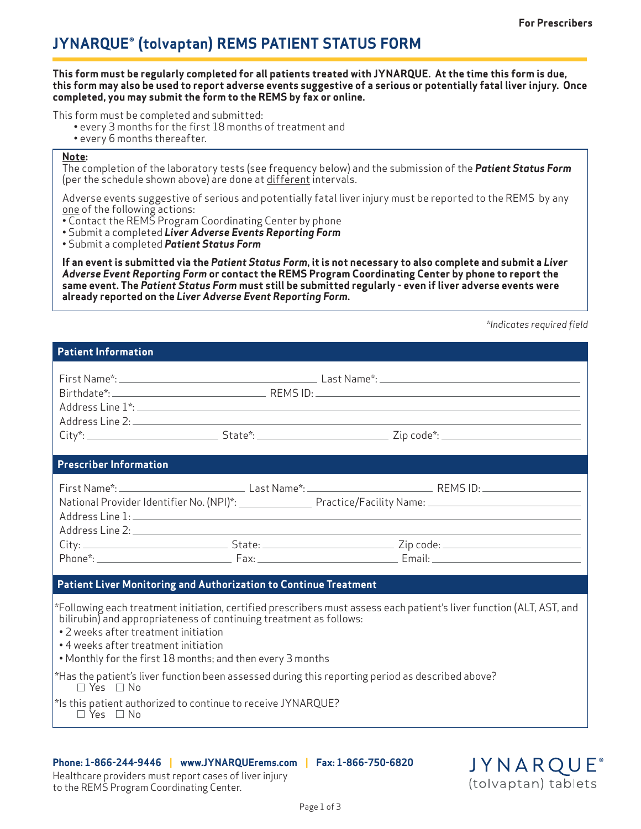# **JYNARQUE® (tolvaptan) REMS PATIENT STATUS FORM**

**This form must be regularly completed for all patients treated with JYNARQUE. At the time this form is due, this form may also be used to report adverse events suggestive of a serious or potentially fatal liver injury. Once completed, you may submit the form to the REMS by fax or online.**

This form must be completed and submitted:

- every 3 months for the first 18 months of treatment and
- every 6 months thereafter.

#### **Note:**

The completion of the laboratory tests (see frequency below) and the submission of the *Patient Status Form* (per the schedule shown above) are done at different intervals.

Adverse events suggestive of serious and potentially fatal liver injury must be reported to the REMS by any one of the following actions:

- Contact the REMS Program Coordinating Center by phone
- Submit a completed *Liver Adverse Events Reporting Form*

• Submit a completed *Patient Status Form* 

**If an event is submitted via the** *Patient Status Form***, it is not necessary to also complete and submit a** *Liver Adverse Event Reporting Form* **or contact the REMS Program Coordinating Center by phone to report the same event. The** *Patient Status Form* **must still be submitted regularly - even if liver adverse events were already reported on the** *Liver Adverse Event Reporting Form***.**

*\*Indicates required field*

# **Patient Information**

| <b>Prescriber Information</b>                                                                                                                                                                                                                                                                                                    |                                                                                                  |                                                                                                                      |
|----------------------------------------------------------------------------------------------------------------------------------------------------------------------------------------------------------------------------------------------------------------------------------------------------------------------------------|--------------------------------------------------------------------------------------------------|----------------------------------------------------------------------------------------------------------------------|
|                                                                                                                                                                                                                                                                                                                                  |                                                                                                  | National Provider Identifier No. (NPI)*: Practice/Facility Name: 2008 2010 2020                                      |
|                                                                                                                                                                                                                                                                                                                                  |                                                                                                  |                                                                                                                      |
| Patient Liver Monitoring and Authorization to Continue Treatment                                                                                                                                                                                                                                                                 |                                                                                                  |                                                                                                                      |
| bilirubin) and appropriateness of continuing treatment as follows:<br>• 2 weeks after treatment initiation<br>• 4 weeks after treatment initiation<br>. Monthly for the first 18 months; and then every 3 months<br>$\Box$ Yes $\Box$ No<br>*Is this patient authorized to continue to receive JYNARQUE?<br>$\Box$ Yes $\Box$ No | *Has the patient's liver function been assessed during this reporting period as described above? | *Following each treatment initiation, certified prescribers must assess each patient's liver function (ALT, AST, and |

### **Phone: 1-866-244-9446 | www.JYNARQUErems.com | Fax: 1-866-750-6820**

Healthcare providers must report cases of liver injury to the REMS Program Coordinating Center.

**JYNARQUE®** (tolvaptan) tablets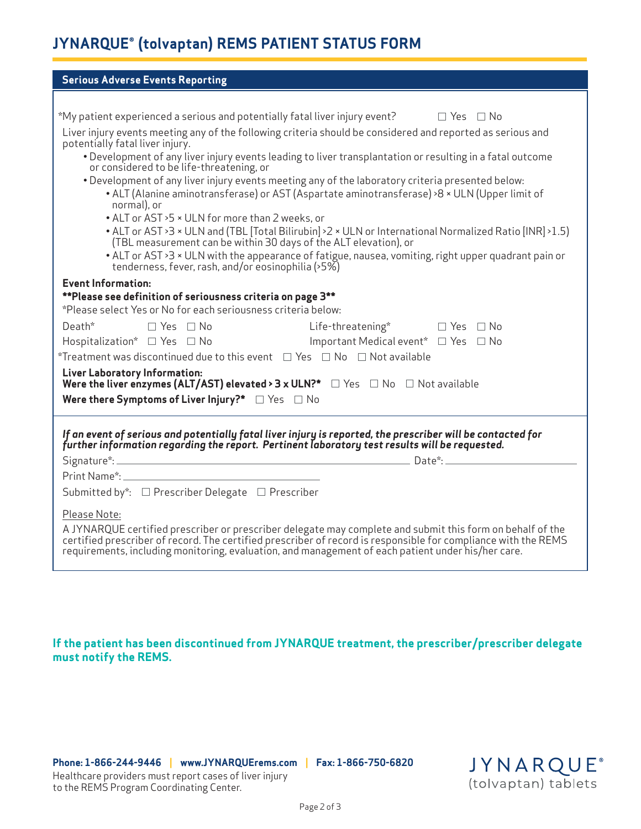# **JYNARQUE® (tolvaptan) REMS PATIENT STATUS FORM**

| <b>Serious Adverse Events Reporting</b>                                                                                                                                                                                                                                                                                           |  |  |
|-----------------------------------------------------------------------------------------------------------------------------------------------------------------------------------------------------------------------------------------------------------------------------------------------------------------------------------|--|--|
|                                                                                                                                                                                                                                                                                                                                   |  |  |
| *My patient experienced a serious and potentially fatal liver injury event? $\Box$ Yes $\Box$ No                                                                                                                                                                                                                                  |  |  |
| Liver injury events meeting any of the following criteria should be considered and reported as serious and<br>potentially fatal liver injury.                                                                                                                                                                                     |  |  |
| . Development of any liver injury events leading to liver transplantation or resulting in a fatal outcome<br>or considered to be life-threatening, or                                                                                                                                                                             |  |  |
| . Development of any liver injury events meeting any of the laboratory criteria presented below:<br>• ALT (Alanine aminotransferase) or AST (Aspartate aminotransferase) >8 × ULN (Upper limit of<br>normal), or                                                                                                                  |  |  |
| • ALT or AST > 5 × ULN for more than 2 weeks, or<br>• ALT or AST > 3 × ULN and (TBL [Total Bilirubin] > 2 × ULN or International Normalized Ratio [INR] > 1.5)<br>(TBL measurement can be within 30 days of the ALT elevation), or                                                                                                |  |  |
| • ALT or AST >3 × ULN with the appearance of fatigue, nausea, vomiting, right upper quadrant pain or<br>tenderness, fever, rash, and/or eosinophilia (>5%)                                                                                                                                                                        |  |  |
| <b>Event Information:</b>                                                                                                                                                                                                                                                                                                         |  |  |
| **Please see definition of seriousness criteria on page 3**<br>*Please select Yes or No for each seriousness criteria below:                                                                                                                                                                                                      |  |  |
|                                                                                                                                                                                                                                                                                                                                   |  |  |
| Death* □ Yes □ No  Life-threatening*  □ Yes □ No<br>Hospitalization* □ Yes □ No Important Medical event* □ Yes □ No                                                                                                                                                                                                               |  |  |
|                                                                                                                                                                                                                                                                                                                                   |  |  |
| *Treatment was discontinued due to this event $\Box$ Yes $\Box$ No $\Box$ Not available                                                                                                                                                                                                                                           |  |  |
| Liver Laboratory Information:<br>Were the liver enzymes (ALT/AST) elevated > 3 x ULN?* $\Box$ Yes $\Box$ No $\Box$ Not available                                                                                                                                                                                                  |  |  |
| Were there Symptoms of Liver Injury?* $\Box$ Yes $\Box$ No                                                                                                                                                                                                                                                                        |  |  |
|                                                                                                                                                                                                                                                                                                                                   |  |  |
| If an event of serious and potentially fatal liver injury is reported, the prescriber will be contacted for<br>further information regarding the report. Pertinent laboratory test results will be requested.                                                                                                                     |  |  |
|                                                                                                                                                                                                                                                                                                                                   |  |  |
|                                                                                                                                                                                                                                                                                                                                   |  |  |
| Submitted by*: □ Prescriber Delegate □ Prescriber                                                                                                                                                                                                                                                                                 |  |  |
| Please Note:                                                                                                                                                                                                                                                                                                                      |  |  |
| A JYNARQUE certified prescriber or prescriber delegate may complete and submit this form on behalf of the<br>certified prescriber of record. The certified prescriber of record is responsible for compliance with the REMS<br>requirements, including monitoring, evaluation, and management of each patient under his/her care. |  |  |

**If the patient has been discontinued from JYNARQUE treatment, the prescriber/prescriber delegate must notify the REMS.**

**Phone: 1-866-244-9446 | www.JYNARQUErems.com | Fax: 1-866-750-6820**

Healthcare providers must report cases of liver injury to the REMS Program Coordinating Center.